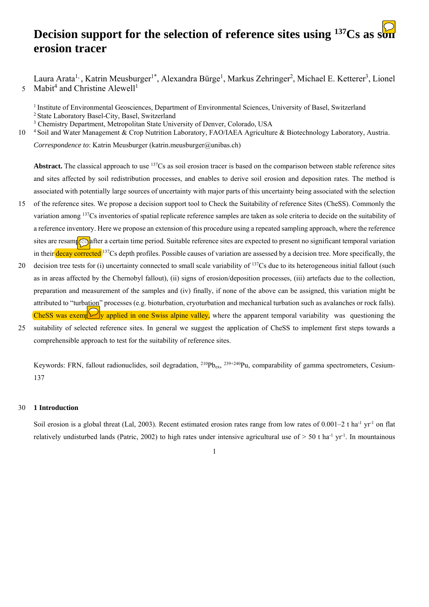# **Decision support for the selection of reference sites using <sup>137</sup>Cs as son erosion tracer**

Laura Arata<sup>1,</sup>, Katrin Meusburger<sup>1\*</sup>, Alexandra Bürge<sup>1</sup>, Markus Zehringer<sup>2</sup>, Michael E. Ketterer<sup>3</sup>, Lionel 5 Mabit<sup>4</sup> and Christine Alewell<sup>1</sup>

<sup>1</sup> Institute of Environmental Geosciences, Department of Environmental Sciences, University of Basel, Switzerland <sup>2</sup> State Laboratory Basel-City, Basel, Switzerland

<sup>3</sup> Chemistry Department, Metropolitan State University of Denver, Colorado, USA

10 <sup>4</sup> Soil and Water Management & Crop Nutrition Laboratory, FAO/IAEA Agriculture & Biotechnology Laboratory, Austria.

*Correspondence to*: Katrin Meusburger (katrin.meusburger@unibas.ch)

Abstract. The classical approach to use <sup>137</sup>Cs as soil erosion tracer is based on the comparison between stable reference sites and sites affected by soil redistribution processes, and enables to derive soil erosion and deposition rates. The method is associated with potentially large sources of uncertainty with major parts of this uncertainty being associated with the selection

- 15 of the reference sites. We propose a decision support tool to Check the Suitability of reference Sites (CheSS). Commonly the variation among 137Cs inventories of spatial replicate reference samples are taken as sole criteria to decide on the suitability of a reference inventory. Here we propose an extension of this procedure using a repeated sampling approach, where the reference sites are resamped after a certain time period. Suitable reference sites are expected to present no significant temporal variation in their decay corrected <sup>137</sup>Cs depth profiles. Possible causes of variation are assessed by a decision tree. More specifically, the
- 20 decision tree tests for (i) uncertainty connected to small scale variability of  $137Cs$  due to its heterogeneous initial fallout (such as in areas affected by the Chernobyl fallout), (ii) signs of erosion/deposition processes, (iii) artefacts due to the collection, preparation and measurement of the samples and (iv) finally, if none of the above can be assigned, this variation might be attributed to "turbation" processes (e.g. bioturbation, cryoturbation and mechanical turbation such as avalanches or rock falls). CheSS was exemplarily applied in one Swiss alpine valley, where the apparent temporal variability was questioning the
- 25 suitability of selected reference sites. In general we suggest the application of CheSS to implement first steps towards a comprehensible approach to test for the suitability of reference sites.

Keywords: FRN, fallout radionuclides, soil degradation,  $^{210}Pb_{ex}$ ,  $^{239+240}Pu$ , comparability of gamma spectrometers, Cesium-137

# 30 **1 Introduction**

Soil erosion is a global threat (Lal, 2003). Recent estimated erosion rates range from low rates of  $0.001-2$  t ha<sup>-1</sup> yr<sup>-1</sup> on flat relatively undisturbed lands (Patric, 2002) to high rates under intensive agricultural use of  $> 50$  t ha<sup>-1</sup> yr<sup>-1</sup>. In mountainous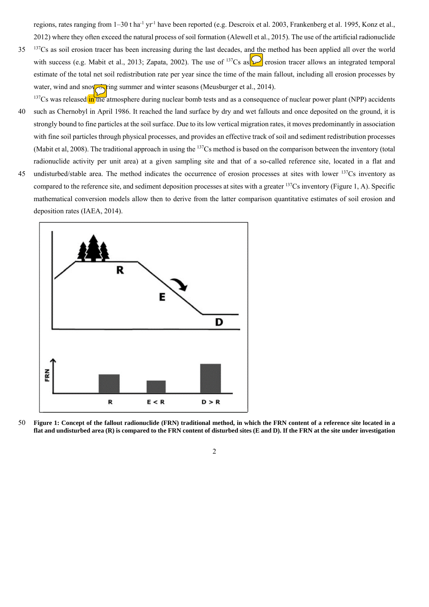regions, rates ranging from 1–30 t ha<sup>-1</sup> yr<sup>-1</sup> have been reported (e.g. Descroix et al. 2003, Frankenberg et al. 1995, Konz et al., 2012) where they often exceed the natural process of soil formation (Alewell et al., 2015). The use of the artificial radionuclide

- <sup>137</sup>Cs as soil erosion tracer has been increasing during the last decades, and the method has been applied all over the world with success (e.g. Mabit et al., 2013; Zapata, 2002). The use of <sup>137</sup>Cs as  $\circ$  erosion tracer allows an integrated temporal estimate of the total net soil redistribution rate per year since the time of the main fallout, including all erosion processes by water, wind and snow ring summer and winter seasons (Meusburger et al., 2014).
- $137Cs$  was released in the atmosphere during nuclear bomb tests and as a consequence of nuclear power plant (NPP) accidents 40 such as Chernobyl in April 1986. It reached the land surface by dry and wet fallouts and once deposited on the ground, it is strongly bound to fine particles at the soil surface. Due to its low vertical migration rates, it moves predominantly in association with fine soil particles through physical processes, and provides an effective track of soil and sediment redistribution processes (Mabit et al, 2008). The traditional approach in using the 137Cs method is based on the comparison between the inventory (total radionuclide activity per unit area) at a given sampling site and that of a so-called reference site, located in a flat and
- 45 undisturbed/stable area. The method indicates the occurrence of erosion processes at sites with lower  $137Cs$  inventory as compared to the reference site, and sediment deposition processes at sites with a greater 137Cs inventory (Figure 1, A). Specific mathematical conversion models allow then to derive from the latter comparison quantitative estimates of soil erosion and deposition rates (IAEA, 2014).



50 **Figure 1: Concept of the fallout radionuclide (FRN) traditional method, in which the FRN content of a reference site located in a flat and undisturbed area (R) is compared to the FRN content of disturbed sites (E and D). If the FRN at the site under investigation**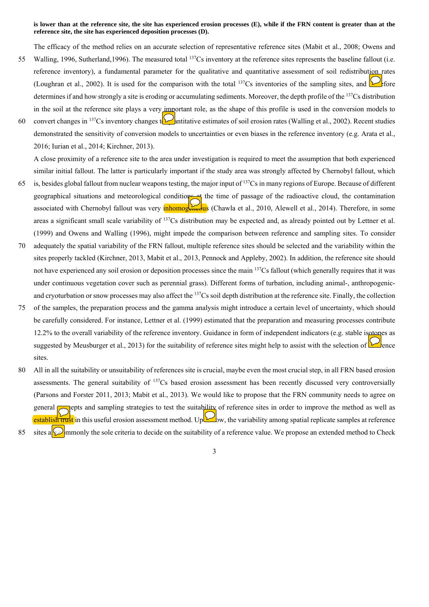### **is lower than at the reference site, the site has experienced erosion processes (E), while if the FRN content is greater than at the reference site, the site has experienced deposition processes (D).**

The efficacy of the method relies on an accurate selection of representative reference sites (Mabit et al., 2008; Owens and

- 55 Walling, 1996, Sutherland, 1996). The measured total <sup>137</sup>Cs inventory at the reference sites represents the baseline fallout (i.e. reference inventory), a fundamental parameter for the qualitative and quantitative assessment of soil redistribution rates (Loughran et al., 2002). It is used for the comparison with the total  $^{137}Cs$  inventories of the sampling sites, and  $\triangleright$  fore determines if and how strongly a site is eroding or accumulating sediments. Moreover, the depth profile of the 137Cs distribution in the soil at the reference site plays a very important role, as the shape of this profile is used in the conversion models to
- 60 convert changes in <sup>137</sup>Cs inventory changes to  $\mathcal{Q}_{\text{antitative estimates of soil erosion rates (Walling et al., 2002)}$ . Recent studies demonstrated the sensitivity of conversion models to uncertainties or even biases in the reference inventory (e.g. Arata et al., 2016; Iurian et al., 2014; Kirchner, 2013).

A close proximity of a reference site to the area under investigation is required to meet the assumption that both experienced similar initial fallout. The latter is particularly important if the study area was strongly affected by Chernobyl fallout, which

- 65 is, besides global fallout from nuclear weapons testing, the major input of  $137Cs$  in many regions of Europe. Because of different geographical situations and meteorological conditions at the time of passage of the radioactive cloud, the contamination associated with Chernobyl fallout was very **inhomogeneous** (Chawla et al., 2010, Alewell et al., 2014). Therefore, in some areas a significant small scale variability of 137Cs distribution may be expected and, as already pointed out by Lettner et al. (1999) and Owens and Walling (1996), might impede the comparison between reference and sampling sites. To consider
- 70 adequately the spatial variability of the FRN fallout, multiple reference sites should be selected and the variability within the sites properly tackled (Kirchner, 2013, Mabit et al., 2013, Pennock and Appleby, 2002). In addition, the reference site should not have experienced any soil erosion or deposition processes since the main 137Cs fallout (which generally requires that it was under continuous vegetation cover such as perennial grass). Different forms of turbation, including animal-, anthropogenicand cryoturbation or snow processes may also affect the <sup>137</sup>Cs soil depth distribution at the reference site. Finally, the collection
- 75 of the samples, the preparation process and the gamma analysis might introduce a certain level of uncertainty, which should be carefully considered. For instance, Lettner et al. (1999) estimated that the preparation and measuring processes contribute 12.2% to the overall variability of the reference inventory. Guidance in form of independent indicators (e.g. stable isotopes as suggested by Meusburger et al., 2013) for the suitability of reference sites might help to assist with the selection of **P**ence sites.
- 80 All in all the suitability or unsuitability of references site is crucial, maybe even the most crucial step, in all FRN based erosion assessments. The general suitability of 137Cs based erosion assessment has been recently discussed very controversially (Parsons and Forster 2011, 2013; Mabit et al., 2013). We would like to propose that the FRN community needs to agree on general complises and sampling strategies to test the suitability of reference sites in order to improve the method as well as establish trust in this useful erosion assessment method. Up  $\bigcup_{w} w$ , the variability among spatial replicate samples at reference
- 85 sites a  $\mathbb{R}$  mmonly the sole criteria to decide on the suitability of a reference value. We propose an extended method to Check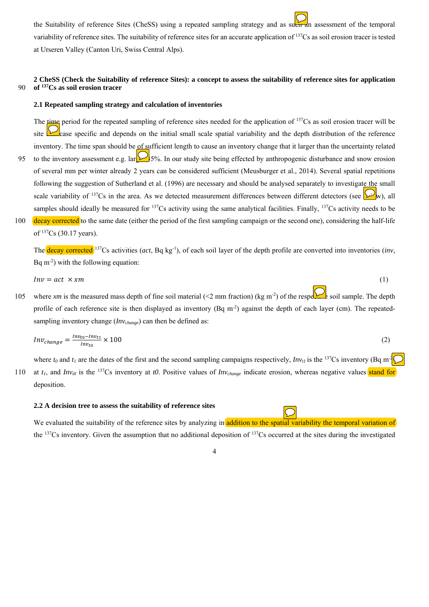the Suitability of reference Sites (CheSS) using a repeated sampling strategy and as such an assessment of the temporal variability of reference sites. The suitability of reference sites for an accurate application of 137Cs as soil erosion tracer is tested at Urseren Valley (Canton Uri, Swiss Central Alps).

# **2 CheSS (Check the Suitability of reference Sites): a concept to assess the suitability of reference sites for application of** 90 **137Cs as soil erosion tracer**

#### **2.1 Repeated sampling strategy and calculation of inventories**

The time period for the repeated sampling of reference sites needed for the application of <sup>137</sup>Cs as soil erosion tracer will be site  $\Box$  case specific and depends on the initial small scale spatial variability and the depth distribution of the reference inventory. The time span should be of sufficient length to cause an inventory change that it larger than the uncertainty related 95 to the inventory assessment e.g. lar $\gg$  5%. In our study site being effected by anthropogenic disturbance and snow erosion of several mm per winter already 2 years can be considered sufficient (Meusburger et al., 2014). Several spatial repetitions following the suggestion of Sutherland et al. (1996) are necessary and should be analysed separately to investigate the small scale variability of <sup>137</sup>Cs in the area. As we detected measurement differences between different detectors (see  $\mathbb{Z}_{w}$ ), all samples should ideally be measured for  $137Cs$  activity using the same analytical facilities. Finally,  $137Cs$  activity needs to be 100 decay corrected to the same date (either the period of the first sampling campaign or the second one), considering the half-life of 137Cs (30.17 years).

The decay corrected 137Cs activities (*act*, Bq kg-1), of each soil layer of the depth profile are converted into inventories (*inv,*  Bq  $m<sup>2</sup>$ ) with the following equation:

$$
Inv = act \times xm
$$
 (1)

105 where *xm* is the measured mass depth of fine soil material (<2 mm fraction) (kg m<sup>-2</sup>) of the respective soil sample. The depth profile of each reference site is then displayed as inventory (Bq m<sup>-2</sup>) against the depth of each layer (cm). The repeatedsampling inventory change (*Inv<sub>change</sub>*) can then be defined as:

$$
Inv_{change} = \frac{Inv_{to} - Inv_{t1}}{Inv_{to}} \times 100
$$
 (2)

where  $t_0$  and  $t_1$  are the dates of the first and the second sampling campaigns respectively,  $Inv_{tt}$  is the <sup>137</sup>Cs inventory (Bq m<sup>-2</sup>) 110 at  $t_1$ , and  $Inv_{10}$  is the <sup>137</sup>Cs inventory at *t0*. Positive values of  $Inv_{change}$  indicate erosion, whereas negative values stand for deposition.

# **2.2 A decision tree to assess the suitability of reference sites**

We evaluated the suitability of the reference sites by analyzing in addition to the spatial variability the temporal variation of the  $^{137}Cs$  inventory. Given the assumption that no additional deposition of  $^{137}Cs$  occurred at the sites during the investigated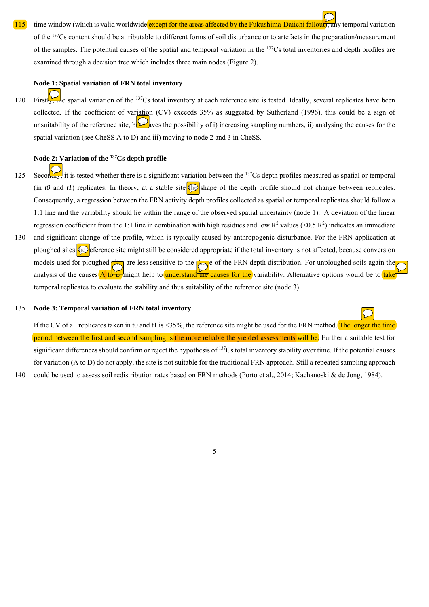# 115 time window (which is valid worldwide except for the areas affected by the Fukushima-Daiichi fallout), any temporal variation

of the 137Cs content should be attributable to different forms of soil disturbance or to artefacts in the preparation/measurement of the samples. The potential causes of the spatial and temporal variation in the  $137Cs$  total inventories and depth profiles are examined through a decision tree which includes three main nodes (Figure 2).

# **Node 1: Spatial variation of FRN total inventory**

120 Firstly, the spatial variation of the <sup>137</sup>Cs total inventory at each reference site is tested. Ideally, several replicates have been collected. If the coefficient of variation (CV) exceeds 35% as suggested by Sutherland (1996), this could be a sign of unsuitability of the reference site, between the possibility of i) increasing sampling numbers, ii) analysing the causes for the spatial variation (see CheSS A to D) and iii) moving to node 2 and 3 in CheSS.

# **Node 2: Variation of the 137Cs depth profile**

- Secondary, it is tested whether there is a significant variation between the  $^{137}$ Cs depth profiles measured as spatial or temporal (in *t0* and *t1*) replicates. In theory, at a stable site  $\bigcirc$  shape of the depth profile should not change between replicates. Consequently, a regression between the FRN activity depth profiles collected as spatial or temporal replicates should follow a 1:1 line and the variability should lie within the range of the observed spatial uncertainty (node 1). A deviation of the linear regression coefficient from the 1:1 line in combination with high residues and low  $R^2$  values (<0.5  $R^2$ ) indicates an immediate
- 130 and significant change of the profile, which is typically caused by anthropogenic disturbance. For the FRN application at ploughed sites  $\Omega$  eference site might still be considered appropriate if the total inventory is not affected, because conversion models used for ploughed sites are less sensitive to the  $\sum_{n=0}^{\infty}$ e of the FRN depth distribution. For unploughed soils again the analysis of the causes A to D might help to understand the causes for the variability. Alternative options would be to take temporal replicates to evaluate the stability and thus suitability of the reference site (node 3).

#### 135 **Node 3: Temporal variation of FRN total inventory**

If the CV of all replicates taken in t0 and t1 is <35%, the reference site might be used for the FRN method. The longer the time period between the first and second sampling is the more reliable the yielded assessments will be. Further a suitable test for significant differences should confirm or reject the hypothesis of 137Cs total inventory stability over time. If the potential causes for variation (A to D) do not apply, the site is not suitable for the traditional FRN approach. Still a repeated sampling approach

140 could be used to assess soil redistribution rates based on FRN methods (Porto et al., 2014; Kachanoski & de Jong, 1984).

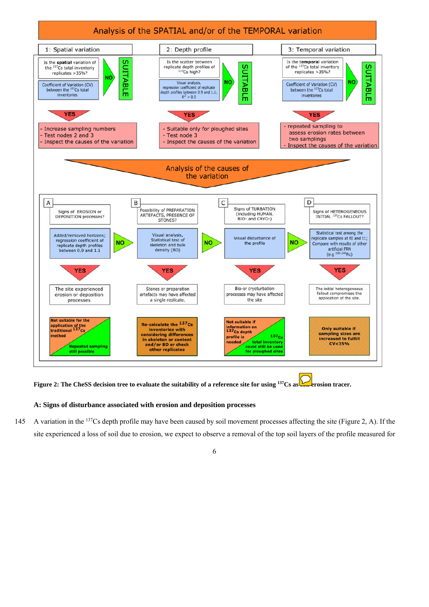

**Figure 2: The CheSS decision tree to evaluate the suitability of a reference site for using <sup>137</sup>Cs as some prosion tracer.** 

# **A: Signs of disturbance associated with erosion and deposition processes**

145 A variation in the <sup>137</sup>Cs depth profile may have been caused by soil movement processes affecting the site (Figure 2, A). If the site experienced a loss of soil due to erosion, we expect to observe a removal of the top soil layers of the profile measured for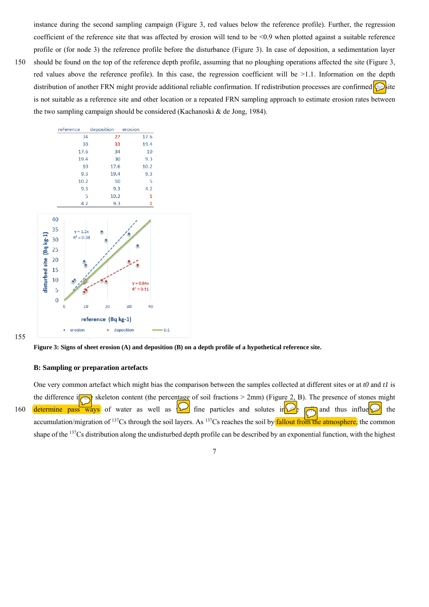instance during the second sampling campaign (Figure 3, red values below the reference profile). Further, the regression coefficient of the reference site that was affected by erosion will tend to be  $\leq 0.9$  when plotted against a suitable reference profile or (for node 3) the reference profile before the disturbance (Figure 3). In case of deposition, a sedimentation layer

150 should be found on the top of the reference depth profile, assuming that no ploughing operations affected the site (Figure 3, red values above the reference profile). In this case, the regression coefficient will be >1.1. Information on the depth distribution of another FRN might provide additional reliable confirmation. If redistribution processes are confirmed the site is not suitable as a reference site and other location or a repeated FRN sampling approach to estimate erosion rates between the two sampling campaign should be considered (Kachanoski & de Jong, 1984).



155



### **B: Sampling or preparation artefacts**

One very common artefact which might bias the comparison between the samples collected at different sites or at *t0* and *t1* is the difference in skeleton content (the percentage of soil fractions > 2mm) (Figure 2, B). The presence of stones might 160 determine pass ways of water as well as  $\Box$  fine particles and solutes in  $\Box$  and thus influe $\Box$  the accumulation/migration of <sup>137</sup>Cs through the soil layers. As <sup>137</sup>Cs reaches the soil by **fallout from the atmosphere**, the common shape of the <sup>137</sup>Cs distribution along the undisturbed depth profile can be described by an exponential function, with the highest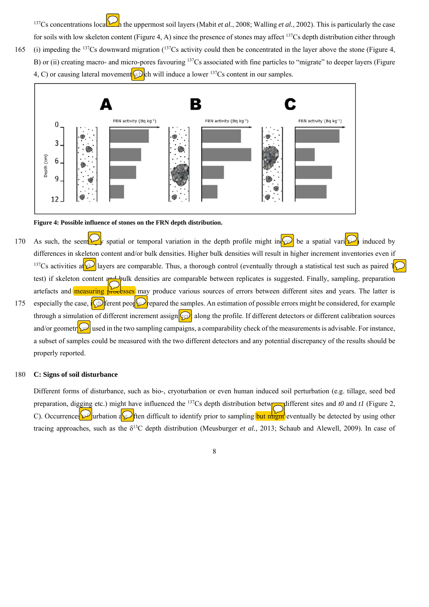137Cs concentrations located in the uppermost soil layers (Mabit *et al.*, 2008; Walling *et al.*, 2002). This is particularly the case for soils with low skeleton content (Figure 4, A) since the presence of stones may affect 137Cs depth distribution either through 165 (i) impeding the  $137Cs$  downward migration ( $137Cs$  activity could then be concentrated in the layer above the stone (Figure 4, B) or (ii) creating macro- and micro-pores favouring <sup>137</sup>Cs associated with fine particles to "migrate" to deeper layers (Figure 4, C) or causing lateral movement which will induce a lower  $^{137}Cs$  content in our samples.



#### **Figure 4: Possible influence of stones on the FRN depth distribution.**

- 170 As such, the seem  $\mathcal{L}_N$  spatial or temporal variation in the depth profile might in  $\mathcal{L}_N$  be a spatial variation induced by differences in skeleton content and/or bulk densities. Higher bulk densities will result in higher increment inventories even if <sup>137</sup>Cs activities at **the layers are comparable.** Thus, a thorough control (eventually through a statistical test such as paired  $\sqrt{\ }$ test) if skeleton content and bulk densities are comparable between replicates is suggested. Finally, sampling, preparation artefacts and **measuring processes** may produce various sources of errors between different sites and years. The latter is 175 especially the case,  $\int \mathcal{D}$  ferent people errors might be considered, for example through a simulation of different increment assigni $\Omega$  along the profile. If different detectors or different calibration sources
	- and/or geometr $\sqrt{\omega}$  used in the two sampling campaigns, a comparability check of the measurements is advisable. For instance, a subset of samples could be measured with the two different detectors and any potential discrepancy of the results should be properly reported.

# 180 **C: Signs of soil disturbance**

Different forms of disturbance, such as bio-, cryoturbation or even human induced soil perturbation (e.g. tillage, seed bed preparation, digging etc.) might have influenced the <sup>137</sup>Cs depth distribution between different sites and *t0* and *t1* (Figure 2, C). Occurrences  $\mathcal{Q}$  urbation at  $\mathcal{Q}$  ften difficult to identify prior to sampling but might eventually be detected by using other tracing approaches, such as the  $\delta^{13}$ C depth distribution (Meusburger *et al.*, 2013; Schaub and Alewell, 2009). In case of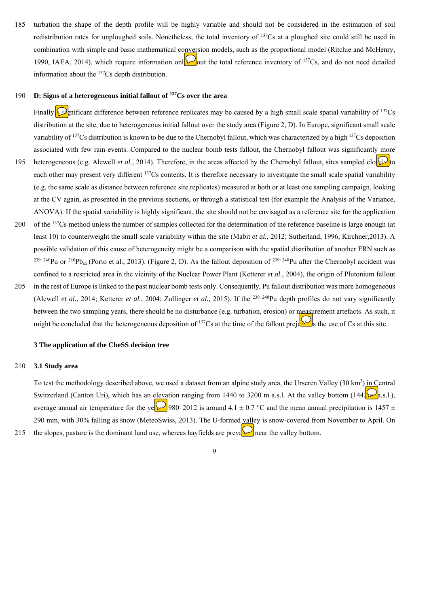185 turbation the shape of the depth profile will be highly variable and should not be considered in the estimation of soil redistribution rates for unploughed soils. Nonetheless, the total inventory of 137Cs at a ploughed site could still be used in combination with simple and basic mathematical conversion models, such as the proportional model (Ritchie and McHenry, 1990, IAEA, 2014), which require information onle up out the total reference inventory of <sup>137</sup>Cs, and do not need detailed information about the 137Cs depth distribution.

# 190 **D:** Signs of a heterogeneous initial fallout of <sup>137</sup>Cs over the area

Finally **S**enificant difference between reference replicates may be caused by a high small scale spatial variability of  $^{137}Cs$ distribution at the site, due to heterogeneous initial fallout over the study area (Figure 2, D). In Europe, significant small scale variability of 137Cs distribution is known to be due to the Chernobyl fallout, which was characterized by a high 137Cs deposition associated with few rain events. Compared to the nuclear bomb tests fallout, the Chernobyl fallout was significantly more 195 heterogeneous (e.g. Alewell *et al.*, 2014). Therefore, in the areas affected by the Chernobyl fallout, sites sampled closely to each other may present very different 137Cs contents. It is therefore necessary to investigate the small scale spatial variability (e.g. the same scale as distance between reference site replicates) measured at both or at least one sampling campaign, looking at the CV again, as presented in the previous sections, or through a statistical test (for example the Analysis of the Variance, ANOVA). If the spatial variability is highly significant, the site should not be envisaged as a reference site for the application 200 of the  $137$ Cs method unless the number of samples collected for the determination of the reference baseline is large enough (at least 10) to counterweight the small scale variability within the site (Mabit *et al.*, 2012; Sutherland, 1996, Kirchner,2013). A possible validation of this cause of heterogeneity might be a comparison with the spatial distribution of another FRN such as

<sup>239+240</sup>Pu or <sup>210</sup>Pb<sub>ex</sub> (Porto et al., 2013). (Figure 2, D). As the fallout deposition of <sup>239+240</sup>Pu after the Chernobyl accident was confined to a restricted area in the vicinity of the Nuclear Power Plant (Ketterer *et al.*, 2004), the origin of Plutonium fallout 205 in the rest of Europe is linked to the past nuclear bomb tests only. Consequently, Pu fallout distribution was more homogeneous (Alewell *et al.*, 2014; Ketterer *et al.*, 2004; Zollinger *et al.*, 2015). If the 239+240Pu depth profiles do not vary significantly between the two sampling years, there should be no disturbance (e.g. turbation, erosion) or measurement artefacts. As such, it might be concluded that the heterogeneous deposition of  $^{137}Cs$  at the time of the fallout prejudices the use of Cs at this site.

#### **3 The application of the CheSS decision tree**

# 210 **3.1 Study area**

To test the methodology described above, we used a dataset from an alpine study area, the Urseren Valley (30 km<sup>2</sup>) in Central Switzerland (Canton Uri), which has an elevation ranging from 1440 to 3200 m a.s.l. At the valley bottom (144 $\mathcal{L}_{\rm a.s.l.}$ ), average annual air temperature for the ye $\approx$  980–2012 is around 4.1  $\pm$  0.7 °C and the mean annual precipitation is 1457  $\pm$ 290 mm, with 30% falling as snow (MeteoSwiss, 2013). The U-formed valley is snow-covered from November to April. On 215 the slopes, pasture is the dominant land use, whereas hayfields are prevaler near the valley bottom.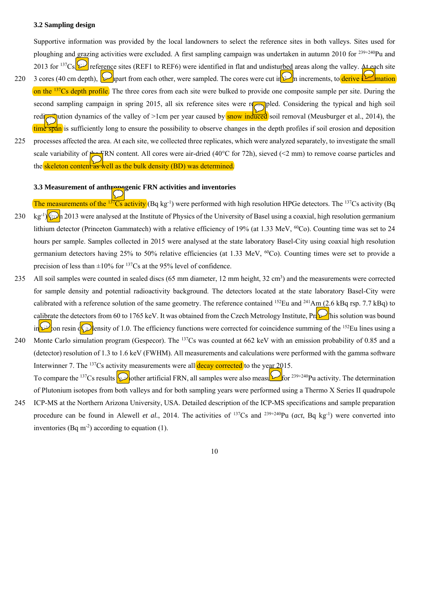### **3.2 Sampling design**

Supportive information was provided by the local landowners to select the reference sites in both valleys. Sites used for ploughing and grazing activities were excluded. A first sampling campaign was undertaken in autumn 2010 for  $^{239+240}$ Pu and 2013 for <sup>137</sup>Cs.  $\Omega$  reference sites (REF1 to REF6) were identified in flat and undisturbed areas along the valley. At each site

- 220 3 cores (40 cm depth),  $\mathcal{D}_{\text{short}}$  from each other, were sampled. The cores were cut in  $\mathcal{D}_{\text{m}}$  increments, to derive  $\mathcal{D}_{\text{mation}}$ on the <sup>137</sup>Cs depth profile. The three cores from each site were bulked to provide one composite sample per site. During the second sampling campaign in spring 2015, all six reference sites were resulted. Considering the typical and high soil redistribution dynamics of the valley of >1cm per year caused by snow induced soil removal (Meusburger et al., 2014), the time span is sufficiently long to ensure the possibility to observe changes in the depth profiles if soil erosion and deposition
- 225 processes affected the area. At each site, we collected three replicates, which were analyzed separately, to investigate the small scale variability of  $\frac{1}{2}$ FRN content. All cores were air-dried (40°C for 72h), sieved (<2 mm) to remove coarse particles and the skeleton content  $\frac{1}{45}$  well as the bulk density (BD) was determined.

#### **3.3 Measurement of anthropogenic FRN activities and inventories**

The measurements of the  $137Cs$  activity (Bq kg<sup>-1</sup>) were performed with high resolution HPGe detectors. The  $137Cs$  activity (Bq 230 kg<sup>-1</sup>  $\int \int \phi$  2013 were analysed at the Institute of Physics of the University of Basel using a coaxial, high resolution germanium lithium detector (Princeton Gammatech) with a relative efficiency of 19% (at 1.33 MeV,  ${}^{60}Co$ ). Counting time was set to 24 hours per sample. Samples collected in 2015 were analysed at the state laboratory Basel-City using coaxial high resolution germanium detectors having 25% to 50% relative efficiencies (at 1.33 MeV, <sup>60</sup>Co). Counting times were set to provide a precision of less than  $\pm 10\%$  for <sup>137</sup>Cs at the 95% level of confidence.

- 235 All soil samples were counted in sealed discs  $(65 \text{ mm diameter}, 12 \text{ mm height}, 32 \text{ cm}^3)$  and the measurements were corrected for sample density and potential radioactivity background. The detectors located at the state laboratory Basel-City were calibrated with a reference solution of the same geometry. The reference contained <sup>152</sup>Eu and <sup>241</sup>Am (2.6 kBq rsp. 7.7 kBq) to calibrate the detectors from 60 to 1765 keV. It was obtained from the Czech Metrology Institute, Pragellis solution was bound in  $\omega$  on resin of a lensity of 1.0. The efficiency functions were corrected for coincidence summing of the <sup>152</sup>Eu lines using a
- 240 Monte Carlo simulation program (Gespecor). The  $^{137}Cs$  was counted at 662 keV with an emission probability of 0.85 and a (detector) resolution of 1.3 to 1.6 keV (FWHM). All measurements and calculations were performed with the gamma software Interwinner 7. The  $137Cs$  activity measurements were all **decay corrected** to the year  $2015$ . To compare the <sup>137</sup>Cs results to be another artificial FRN, all samples were also measured for <sup>239+240</sup>Pu activity. The determination of Plutonium isotopes from both valleys and for both sampling years were performed using a Thermo X Series II quadrupole
- 245 ICP-MS at the Northern Arizona University, USA. Detailed description of the ICP-MS specifications and sample preparation procedure can be found in Alewell *et al.*, 2014. The activities of 137Cs and 239+240Pu (*act*, Bq kg-1) were converted into inventories (Bq m<sup>-2</sup>) according to equation (1).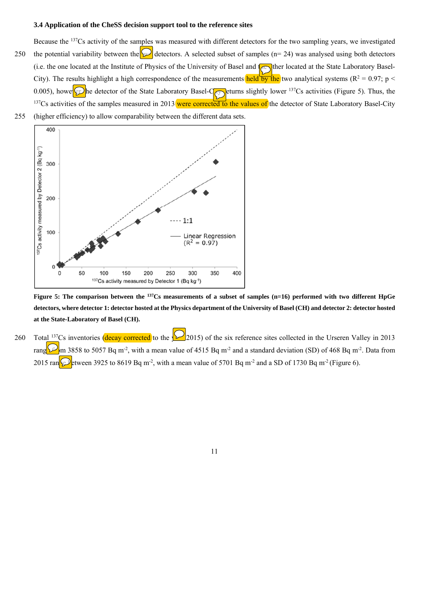# **3.4 Application of the CheSS decision support tool to the reference sites**

- Because the 137Cs activity of the samples was measured with different detectors for the two sampling years, we investigated 250 the potential variability between the  $\Omega$  detectors. A selected subset of samples (n= 24) was analysed using both detectors (i.e. the one located at the Institute of Physics of the University of Basel and  $\sim$  the located at the State Laboratory Basel-City). The results highlight a high correspondence of the measurements held by the two analytical systems ( $R^2 = 0.97$ ; p < 0.005), howe  $\circled{p}$  he detector of the State Laboratory Basel- $\circled{c}$  eturns slightly lower <sup>137</sup>Cs activities (Figure 5). Thus, the  $137Cs$  activities of the samples measured in 2013 were corrected to the values of the detector of State Laboratory Basel-City
- 255 (higher efficiency) to allow comparability between the different data sets.



**Figure 5: The comparison between the 137Cs measurements of a subset of samples (n=16) performed with two different HpGe detectors, where detector 1: detector hosted at the Physics department of the University of Basel (CH) and detector 2: detector hosted at the State-Laboratory of Basel (CH).** 

260 Total <sup>137</sup>Cs inventories (decay corrected to the  $\bigotimes$  2015) of the six reference sites collected in the Urseren Valley in 2013 rang  $\Box$  m 3858 to 5057 Bq m<sup>-2</sup>, with a mean value of 4515 Bq m<sup>-2</sup> and a standard deviation (SD) of 468 Bq m<sup>-2</sup>. Data from 2015 ran $\mathbb{Q}$  tween 3925 to 8619 Bq m<sup>-2</sup>, with a mean value of 5701 Bq m<sup>-2</sup> and a SD of 1730 Bq m<sup>-2</sup> (Figure 6).

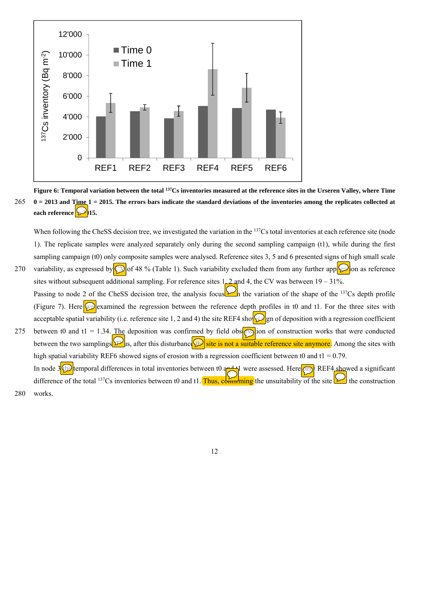

**Figure 6: Temporal variation between the total 137Cs inventories measured at the reference sites in the Urseren Valley, where Time**  265 **0 = 2013 and Time 1 = 2015. The errors bars indicate the standard deviations of the inventories among the replicates collected at**  each reference **in 2015.** 

When following the CheSS decision tree, we investigated the variation in the <sup>137</sup>Cs total inventories at each reference site (node 1). The replicate samples were analyzed separately only during the second sampling campaign (t1), while during the first sampling campaign (t0) only composite samples were analysed. Reference sites 3, 5 and 6 presented signs of high small scale 270 variability, as expressed by  $\circled{D}$  of 48 % (Table 1). Such variability excluded them from any further application as reference sites without subsequent additional sampling. For reference sites  $1, 2$  and 4, the CV was between  $19 - 31\%$ .

- Passing to node 2 of the CheSS decision tree, the analysis focuses in the variation of the shape of the  $137Cs$  depth profile (Figure 7). Here we examined the regression between the reference depth profiles in t0 and t1. For the three sites with acceptable spatial variability (i.e. reference site 1, 2 and 4) the site REF4 shows generally and deposition with a regression coefficient 275 between t0 and t1 = 1.34. The deposition was confirmed by field observation of construction works that were conducted
- between the two samplings  $\mathcal{L}$ s, after this disturbance the is not a suitable reference site anymore. Among the sites with high spatial variability REF6 showed signs of erosion with a regression coefficient between t0 and t1 = 0.79. In node  $3$  the temporal differences in total inventories between t0 and t<sub>1</sub> were assessed. Here only REF4 showed a significant difference of the total <sup>137</sup>Cs inventories between t0 and t1. Thus, committing the unsuitability of the site the construction 280 works.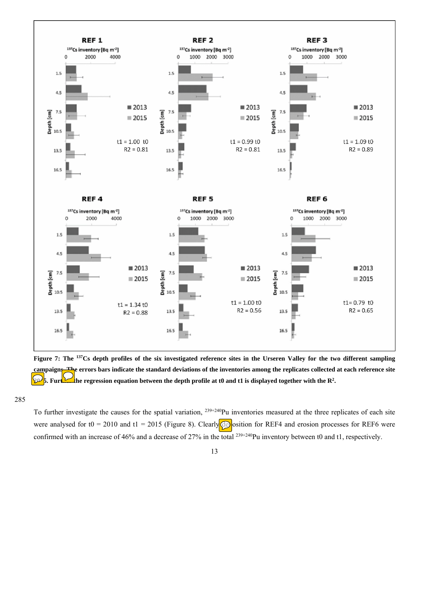

**Figure 7: The 137Cs depth profiles of the six investigated reference sites in the Urseren Valley for the two different sampling campaigns. The errors bars indicate the standard deviations of the inventories among the replicates collected at each reference site 2015. Further the regression equation between the depth profile at t0 and t1 is displayed together with the R<sup>2</sup>.** 

285

To further investigate the causes for the spatial variation, <sup>239+240</sup>Pu inventories measured at the three replicates of each site were analysed for t0 = 2010 and t1 = 2015 (Figure 8). Clearly  $\bigcirc$  osition for REF4 and erosion processes for REF6 were confirmed with an increase of 46% and a decrease of 27% in the total <sup>239+240</sup>Pu inventory between t0 and t1, respectively.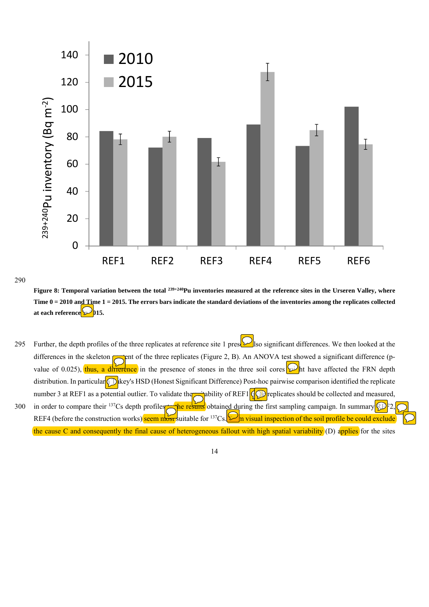

# 290

Figure 8: Temporal variation between the total <sup>239+240</sup>Pu inventories measured at the reference sites in the Urseren Valley, where **Time 0 = 2010 and Time 1 = 2015. The errors bars indicate the standard deviations of the inventories among the replicates collected**  at each reference **2015.** 

295 Further, the depth profiles of the three replicates at reference site 1 preset  $\mathcal{D}$  so significant differences. We then looked at the differences in the skeleton  $\sqrt{\phantom{a}}$  ent of the three replicates (Figure 2, B). An ANOVA test showed a significant difference (pvalue of 0.025), thus, a difference in the presence of stones in the three soil cores  $\omega$ ht have affected the FRN depth distribution. In particular  $\mathbb{D}$ key's HSD (Honest Significant Difference) Post-hoc pairwise comparison identified the replicate number 3 at REF1 as a potential outlier. To validate the substitution REF1  $\left( \bigcirc$  replicates should be collected and measured, 300 in order to compare their <sup>137</sup>Cs depth profiles the results obtained during the first sampling campaign. In summary REF REF4 (before the construction works) seem most suitable for <sup>137</sup>Cs.  $\Box$  wisual inspection of the soil profile be could exclude the cause C and consequently the final cause of heterogeneous fallout with high spatial variability (D) applies for the sites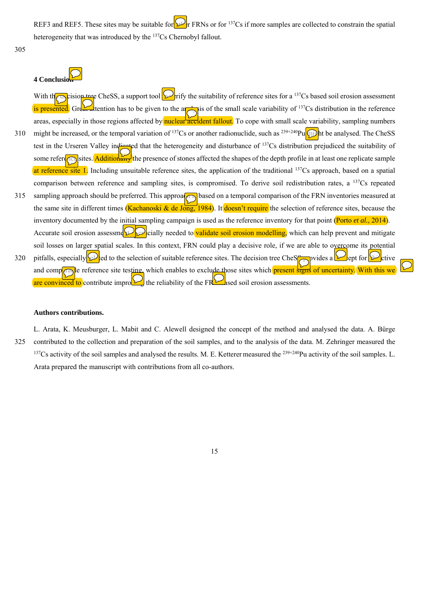REF3 and REF5. These sites may be suitable for  $\mathbb{R}^1$  FRNs or for <sup>137</sup>Cs if more samples are collected to constrain the spatial heterogeneity that was introduced by the <sup>137</sup>Cs Chernobyl fallout.

305

# **4 Conclusi**

With the decision tree CheSS, a support tool  $\sum$ rify the suitability of reference sites for a <sup>137</sup>Cs based soil erosion assessment is presented. Great attention has to be given to the analysis of the small scale variability of  $137Cs$  distribution in the reference areas, especially in those regions affected by nuclear accident fallout. To cope with small scale variability, sampling numbers 310 might be increased, or the temporal variation of <sup>137</sup>Cs or another radionuclide, such as <sup>239+240</sup>Pu  $\omega$ ht be analysed. The CheSS test in the Urseren Valley indicated that the heterogeneity and disturbance of <sup>137</sup>Cs distribution prejudiced the suitability of some reference. Additionally the presence of stones affected the shapes of the depth profile in at least one replicate sample at reference site 1. Including unsuitable reference sites, the application of the traditional <sup>137</sup>Cs approach, based on a spatial comparison between reference and sampling sites, is compromised. To derive soil redistribution rates, a 137Cs repeated 315 sampling approach should be preferred. This approach is based on a temporal comparison of the FRN inventories measured at the same site in different times (Kachanoski & de Jong, 1984). It doesn't require the selection of reference sites, because the inventory documented by the initial sampling campaign is used as the reference inventory for that point (Porto *et al.*, 2014). Accurate soil erosion assessme $\mathbb{C}$  cially needed to validate soil erosion modelling, which can help prevent and mitigate soil losses on larger spatial scales. In this context, FRN could play a decisive role, if we are able to overcome its potential 320 pitfalls, especially  $\Omega$  ed to the selection of suitable reference sites. The decision tree CheS provides a concept for  $\Omega$  ept for  $\Omega$ and comparable reference site testing, which enables to exclude those sites which present signs of uncertainty. With this we are convinced to contribute improving the reliability of the FR $\blacktriangleright$  ased soil erosion assessments.

# **Authors contributions.**

L. Arata, K. Meusburger, L. Mabit and C. Alewell designed the concept of the method and analysed the data. A. Bürge 325 contributed to the collection and preparation of the soil samples, and to the analysis of the data. M. Zehringer measured the <sup>137</sup>Cs activity of the soil samples and analysed the results. M. E. Ketterer measured the <sup>239+240</sup>Pu activity of the soil samples. L. Arata prepared the manuscript with contributions from all co-authors.

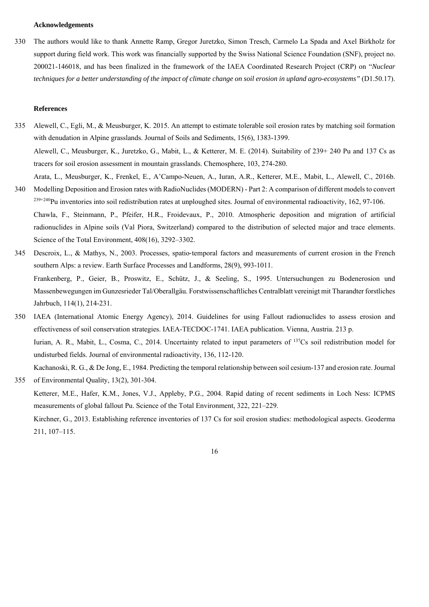#### **Acknowledgements**

330 The authors would like to thank Annette Ramp, Gregor Juretzko, Simon Tresch, Carmelo La Spada and Axel Birkholz for support during field work. This work was financially supported by the Swiss National Science Foundation (SNF), project no. 200021-146018, and has been finalized in the framework of the IAEA Coordinated Research Project (CRP) on "*Nuclear techniques for a better understanding of the impact of climate change on soil erosion in upland agro-ecosystems"* (D1.50.17).

#### **References**

Science of the Total Environment, 408(16), 3292–3302.

- 335 Alewell, C., Egli, M., & Meusburger, K. 2015. An attempt to estimate tolerable soil erosion rates by matching soil formation with denudation in Alpine grasslands. Journal of Soils and Sediments, 15(6), 1383-1399. Alewell, C., Meusburger, K., Juretzko, G., Mabit, L., & Ketterer, M. E. (2014). Suitability of 239+ 240 Pu and 137 Cs as tracers for soil erosion assessment in mountain grasslands. Chemosphere, 103, 274-280.
- Arata, L., Meusburger, K., Frenkel, E., A'Campo-Neuen, A., Iuran, A.R., Ketterer, M.E., Mabit, L., Alewell, C., 2016b. 340 Modelling Deposition and Erosion rates with RadioNuclides (MODERN) - Part 2: A comparison of different models to convert  $239+240$ Pu inventories into soil redistribution rates at unploughed sites. Journal of environmental radioactivity, 162, 97-106. Chawla, F., Steinmann, P., Pfeifer, H.R., Froidevaux, P., 2010. Atmospheric deposition and migration of artificial radionuclides in Alpine soils (Val Piora, Switzerland) compared to the distribution of selected major and trace elements.

345 Descroix, L., & Mathys, N., 2003. Processes, spatio‐temporal factors and measurements of current erosion in the French southern Alps: a review. Earth Surface Processes and Landforms, 28(9), 993-1011. Frankenberg, P., Geier, B., Proswitz, E., Schütz, J., & Seeling, S., 1995. Untersuchungen zu Bodenerosion und Massenbewegungen im Gunzesrieder Tal/Oberallgäu. Forstwissenschaftliches Centralblatt vereinigt mit Tharandter forstliches Jahrbuch, 114(1), 214-231.

- 350 IAEA (International Atomic Energy Agency), 2014. Guidelines for using Fallout radionuclides to assess erosion and effectiveness of soil conservation strategies. IAEA-TECDOC-1741. IAEA publication. Vienna, Austria. 213 p. Iurian, A. R., Mabit, L., Cosma, C., 2014. Uncertainty related to input parameters of 137Cs soil redistribution model for undisturbed fields. Journal of environmental radioactivity, 136, 112-120. Kachanoski, R. G., & De Jong, E., 1984. Predicting the temporal relationship between soil cesium-137 and erosion rate. Journal
- 355 of Environmental Quality, 13(2), 301-304. Ketterer, M.E., Hafer, K.M., Jones, V.J., Appleby, P.G., 2004. Rapid dating of recent sediments in Loch Ness: ICPMS measurements of global fallout Pu. Science of the Total Environment, 322, 221–229. Kirchner, G., 2013. Establishing reference inventories of 137 Cs for soil erosion studies: methodological aspects. Geoderma 211, 107–115.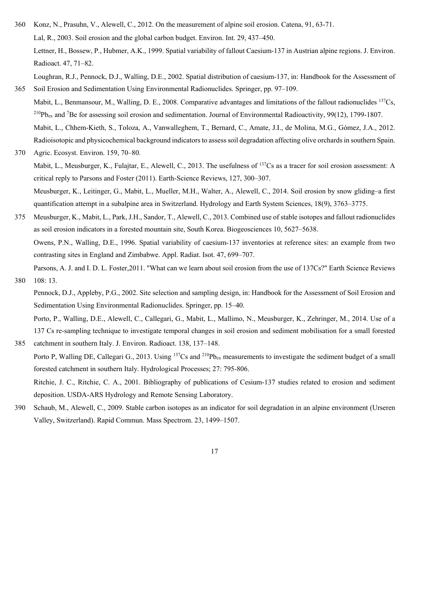- 360 Konz, N., Prasuhn, V., Alewell, C., 2012. On the measurement of alpine soil erosion. Catena, 91, 63-71. Lal, R., 2003. Soil erosion and the global carbon budget. Environ. Int. 29, 437–450. Lettner, H., Bossew, P., Hubmer, A.K., 1999. Spatial variability of fallout Caesium-137 in Austrian alpine regions. J. Environ. Radioact. 47, 71–82. Loughran, R.J., Pennock, D.J., Walling, D.E., 2002. Spatial distribution of caesium-137, in: Handbook for the Assessment of
- 365 Soil Erosion and Sedimentation Using Environmental Radionuclides. Springer, pp. 97–109. Mabit, L., Benmansour, M., Walling, D. E., 2008. Comparative advantages and limitations of the fallout radionuclides 137Cs,
- $^{210}Pb_{ex}$  and <sup>7</sup>Be for assessing soil erosion and sedimentation. Journal of Environmental Radioactivity, 99(12), 1799-1807. Mabit, L., Chhem-Kieth, S., Toloza, A., Vanwalleghem, T., Bernard, C., Amate, J.I., de Molina, M.G., Gómez, J.A., 2012.
- Radioisotopic and physicochemical background indicators to assess soil degradation affecting olive orchards in southern Spain. 370 Agric. Ecosyst. Environ. 159, 70–80. Mabit, L., Meusburger, K., Fulajtar, E., Alewell, C., 2013. The usefulness of 137Cs as a tracer for soil erosion assessment: A critical reply to Parsons and Foster (2011). Earth-Science Reviews, 127, 300–307.

Meusburger, K., Leitinger, G., Mabit, L., Mueller, M.H., Walter, A., Alewell, C., 2014. Soil erosion by snow gliding–a first quantification attempt in a subalpine area in Switzerland. Hydrology and Earth System Sciences, 18(9), 3763–3775.

375 Meusburger, K., Mabit, L., Park, J.H., Sandor, T., Alewell, C., 2013. Combined use of stable isotopes and fallout radionuclides as soil erosion indicators in a forested mountain site, South Korea. Biogeosciences 10, 5627–5638. Owens, P.N., Walling, D.E., 1996. Spatial variability of caesium-137 inventories at reference sites: an example from two contrasting sites in England and Zimbabwe. Appl. Radiat. Isot. 47, 699–707.

Parsons, A. J. and I. D. L. Foster,2011. "What can we learn about soil erosion from the use of 137Cs?" Earth Science Reviews 380 108: 13.

- Pennock, D.J., Appleby, P.G., 2002. Site selection and sampling design, in: Handbook for the Assessment of Soil Erosion and Sedimentation Using Environmental Radionuclides. Springer, pp. 15–40.
- Porto, P., Walling, D.E., Alewell, C., Callegari, G., Mabit, L., Mallimo, N., Meusburger, K., Zehringer, M., 2014. Use of a 137 Cs re-sampling technique to investigate temporal changes in soil erosion and sediment mobilisation for a small forested 385 catchment in southern Italy. J. Environ. Radioact. 138, 137–148.
	- Porto P, Walling DE, Callegari G., 2013. Using <sup>137</sup>Cs and <sup>210</sup>Pb<sub>ex</sub> measurements to investigate the sediment budget of a small forested catchment in southern Italy. Hydrological Processes; 27: 795-806.

Ritchie, J. C., Ritchie, C. A., 2001. Bibliography of publications of Cesium-137 studies related to erosion and sediment deposition. USDA-ARS Hydrology and Remote Sensing Laboratory.

390 Schaub, M., Alewell, C., 2009. Stable carbon isotopes as an indicator for soil degradation in an alpine environment (Urseren Valley, Switzerland). Rapid Commun. Mass Spectrom. 23, 1499–1507.